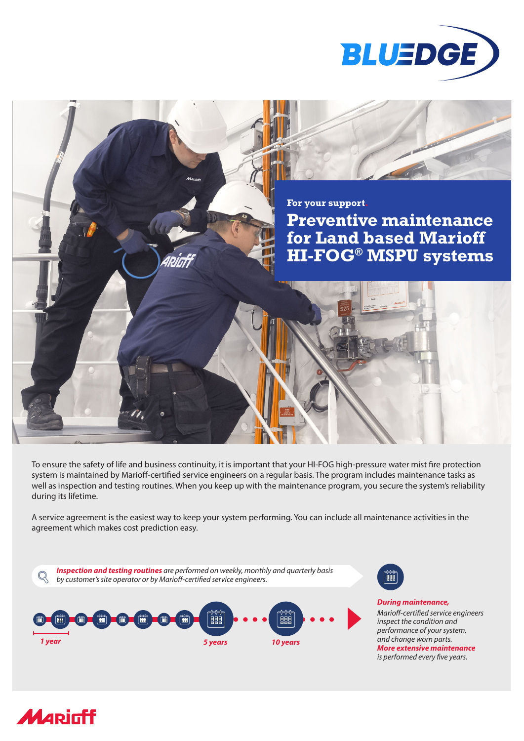



To ensure the safety of life and business continuity, it is important that your HI-FOG high-pressure water mist fire protection system is maintained by Marioff-certified service engineers on a regular basis. The program includes maintenance tasks as well as inspection and testing routines. When you keep up with the maintenance program, you secure the system's reliability during its lifetime.

A service agreement is the easiest way to keep your system performing. You can include all maintenance activities in the agreement which makes cost prediction easy.





*During maintenance, Marioff-certified service engineers inspect the condition and performance of your system, and change worn parts. More extensive maintenance is performed every five years.*